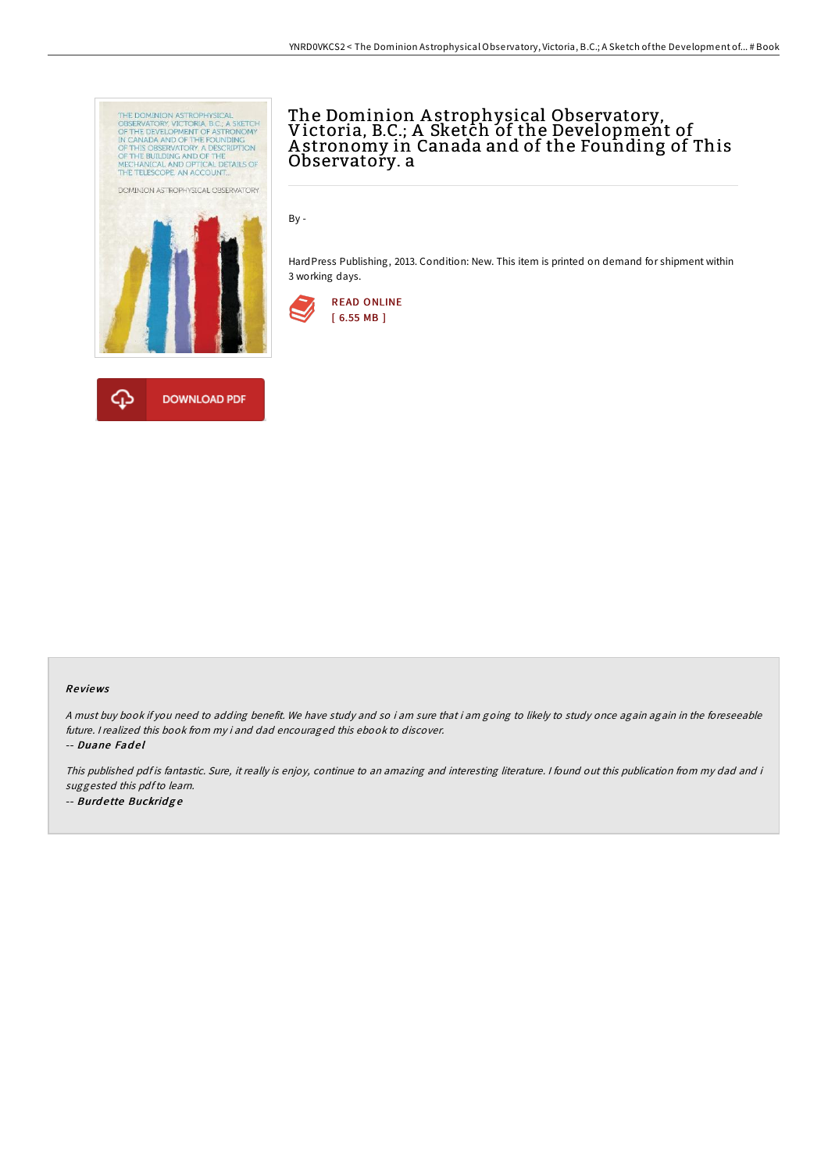

## The Dominion A strophysical Observatory, Victoria, B.C.; A Sketch of the Development of A stronomy in Canada and of the Founding of This Observatory. a

By -

HardPress Publishing, 2013. Condition: New. This item is printed on demand for shipment within 3 working days.



## Re views

<sup>A</sup> must buy book if you need to adding benefit. We have study and so i am sure that i am going to likely to study once again again in the foreseeable future. <sup>I</sup> realized this book from my i and dad encouraged this ebook to discover. -- Duane Fadel

This published pdf is fantastic. Sure, it really is enjoy, continue to an amazing and interesting literature. <sup>I</sup> found out this publication from my dad and i suggested this pdf to learn. -- Burdette Buckridge